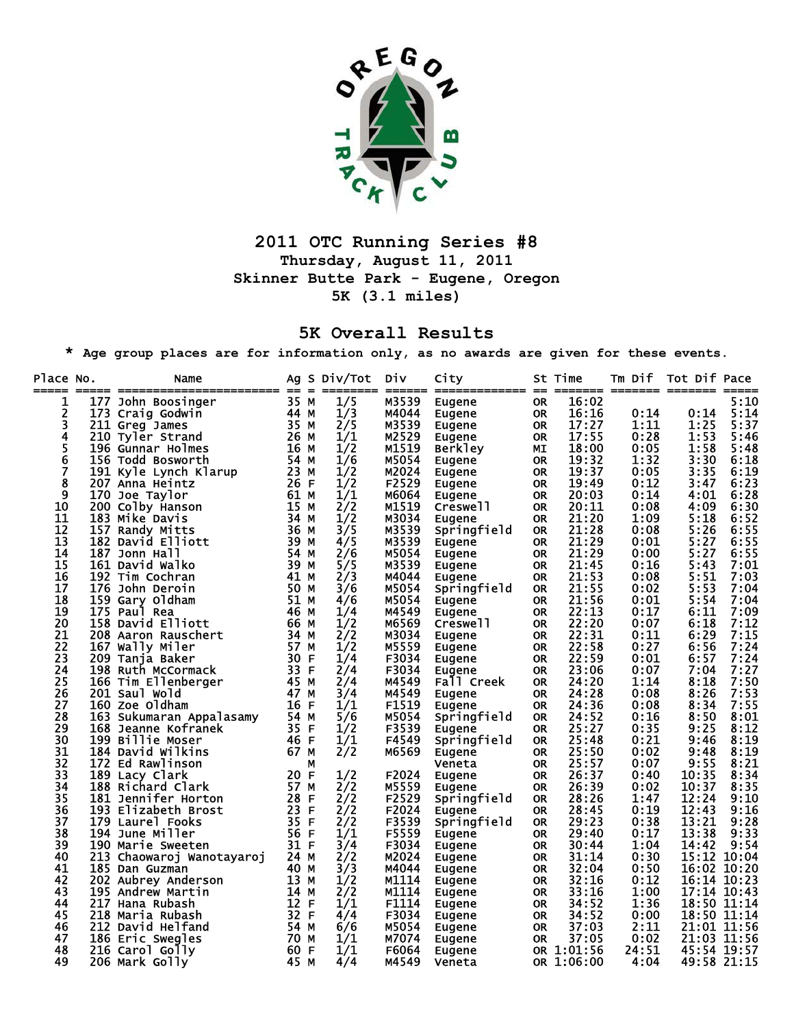

## **2011 OTC Running Series #8 Thursday, August 11, 2011 Skinner Butte Park - Eugene, Oregon 5K (3.1 miles)**

## **5K Overall Results**

**\* Age group places are for information only, as no awards are given for these events.** 

| Place No. | Name<br>-- ---------<br>------------- | $== =$ |    | Ag S Div/Tot | DİV            | City           | --        | St Time    | Tm Dif       | Tot Dif Pace               |      |
|-----------|---------------------------------------|--------|----|--------------|----------------|----------------|-----------|------------|--------------|----------------------------|------|
| 1         | 177 John Boosinger                    | 35 M   |    | 1/5          | M3539          | <b>Eugene</b>  | 0R        | 16:02      |              |                            | 5:10 |
| 2         | 173 Craig Godwin                      | 44 M   |    | 1/3          | M4044          | Eugene         | <b>OR</b> | 16:16      | 0:14         | 0:14                       | 5:14 |
| 3         | 211 Greg James                        | 35 M   |    | 2/5          | M3539          | Eugene         | <b>OR</b> | 17:27      | 1:11         | 1:25                       | 5:37 |
| 4         | 210 Tyler Strand                      | 26 M   |    | 1/1          | M2529          | Eugene         | <b>OR</b> | 17:55      | 0:28         | 1:53                       | 5:46 |
| 5         | 196 Gunnar Holmes                     | 16 M   |    | 1/2          | M1519          | <b>Berkley</b> | МI        | 18:00      | 0:05         | 1:58                       | 5:48 |
| $\bar{6}$ | 156 Todd Bosworth                     | 54 M   |    | 1/6          | M5054          | Eugene         | <b>OR</b> | 19:32      | 1:32         | 3:30                       | 6:18 |
| 7         | 191 Kyle Lynch Klarup                 | 23 M   |    | 1/2          | M2024          | Eugene         | <b>OR</b> | 19:37      | 0:05         | 3:35                       | 6:19 |
| 8         | 207 Anna Heintz                       | 26 F   |    | 1/2          | F2529          | Eugene         | <b>OR</b> | 19:49      | 0:12         | 3:47                       | 6:23 |
| 9         | 170 Joe Taylor                        | 61 M   |    | 1/1          | M6064          | Eugene         | <b>OR</b> | 20:03      | 0:14         | 4:01                       | 6:28 |
| 10        | 200 Colby Hanson                      | 15 M   |    | 2/2          | M1519          | Creswell       | <b>OR</b> | 20:11      | 0:08         | 4:09                       | 6:30 |
| 11        | 183 Mike Davis                        | 34 M   |    | 1/2          | M3034          | Eugene         | <b>OR</b> | 21:20      | 1:09         | 5:18                       | 6:52 |
| 12        | 157 Randy Mitts                       | 36 M   |    | 3/5          | M3539          | Springfield    | <b>OR</b> | 21:28      | 0:08         | 5:26                       | 6:55 |
| 13        | 182 David Elliott                     | 39 M   |    | 4/5          | M3539          | Eugene         | <b>OR</b> | 21:29      | 0:01         | 5:27                       | 6:55 |
| 14        | 187 Jonn Hall                         | 54 M   |    | 2/6          | M5054          | Eugene         | <b>OR</b> | 21:29      | 0:00         | 5:27                       | 6:55 |
| 15        | 161 David Walko                       | 39 M   |    | 5/5          | M3539          | Eugene         | <b>OR</b> | 21:45      | 0:16         | 5:43                       | 7:01 |
| 16        | 192 Tim Cochran                       | 41 M   |    | 2/3          | M4044          | Eugene         | <b>OR</b> | 21:53      | 0:08         | 5:51                       | 7:03 |
| 17        | 176 John Deroin                       | 50 M   |    | 3/6          | M5054          | Springfield    | <b>OR</b> | 21:55      | 0:02         | 5:53                       | 7:04 |
| 18        | 159 Gary Oldham                       | 51 M   |    | 4/6          | M5054          | Eugene         | <b>OR</b> | 21:56      | 0:01         | 5:54                       | 7:04 |
| 19        | 175 Paul Rea                          | 46 M   |    | 1/4          | M4549          | Eugene         | <b>OR</b> | 22:13      | 0:17         | 6:11                       | 7:09 |
| 20        | 158 David Elliott                     | 66 M   |    | 1/2          | M6569          | Creswell       | <b>OR</b> | 22:20      | 0:07         | 6:18                       | 7:12 |
| 21        | 208 Aaron Rauschert                   | 34 M   |    | 2/2          | M3034          | Eugene         | <b>OR</b> | 22:31      | 0:11         | 6:29                       | 7:15 |
| 22        | 167 Wally Miler                       | 57 M   |    | 1/2          | M5559          | Eugene         | <b>OR</b> | 22:58      | 0:27         | 6:56                       | 7:24 |
| 23        | 209 Tanja Baker                       | 30 F   |    | 1/4          | F3034          | Eugene         | <b>OR</b> | 22:59      | 0:01         | 6:57                       | 7:24 |
| 24        | 198 Ruth McCormack                    | 33 F   |    | 2/4          | F3034          | Eugene         | <b>OR</b> | 23:06      | 0:07         | 7:04                       | 7:27 |
| 25        | 166 Tim Ellenberger                   | 45 M   |    | 2/4          | M4549          | Fall Creek     | <b>OR</b> | 24:20      | 1:14         | 8:18                       | 7:50 |
| 26        | 201 Saul Wold                         | 47 M   |    | 3/4          | M4549          | Eugene         | <b>OR</b> | 24:28      | 0:08         | 8:26                       | 7:53 |
| 27        | 160 Zoe Oldham                        | 16     | E  | 1/1          | F1519          | Eugene         | <b>OR</b> | 24:36      | 0:08         | 8:34                       | 7:55 |
| 28        | 163 Sukumaran Appalasamy              | 54 M   |    | 5/6          | M5054          | Springfield    | <b>OR</b> | 24:52      | 0:16         | 8:50                       | 8:01 |
| 29        | 168 Jeanne Kofranek                   | 35 F   |    | 1/2          | F3539          | Eugene         | <b>OR</b> | 25:27      | 0:35         | 9:25                       | 8:12 |
| 30        | 199 Billie Moser                      | 46 F   |    | 1/1          | F4549          | Springfield    | <b>OR</b> | 25:48      | 0:21         | 9:46                       | 8:19 |
| 31        | 184 David Wilkins                     | 67 M   |    | 2/2          | M6569          | Eugene         | <b>OR</b> | 25:50      | 0:02         | 9:48                       | 8:19 |
| 32        | 172 Ed Rawlinson                      |        | М  |              |                | Veneta         | <b>OR</b> | 25:57      | 0:07         | 9:55                       | 8:21 |
| 33        | 189 Lacy Clark                        | 20 F   |    | 1/2          | F2024          | Eugene         | <b>OR</b> | 26:37      | 0:40         | 10:35                      | 8:34 |
| 34        | 188 Richard Clark                     | 57 M   |    | 2/2          | M5559          | Eugene         | <b>OR</b> | 26:39      | 0:02         | 10:37                      | 8:35 |
| 35        | 181 Jennifer Horton                   | 28 F   |    | 2/2          | F2529          | Springfield    | <b>OR</b> | 28:26      | 1:47         | 12:24                      | 9:10 |
| 36        | 193 Elizabeth Brost                   | 23 F   |    | 2/2          | F2024          | <b>Eugene</b>  | <b>OR</b> | 28:45      | 0:19         | 12:43                      | 9:16 |
| 37        | 179 Laurel Fooks                      | 35     | F  | 2/2          | F3539          | Springfield    | <b>OR</b> | 29:23      | 0:38         | 13:21                      | 9:28 |
| 38        | 194 June Miller                       | 56     | -F | 1/1          | F5559          | Eugene         | <b>OR</b> | 29:40      | 0:17         | 13:38                      | 9:33 |
| 39        | 190 Marie Sweeten                     | 31 F   |    | 3/4          | F3034          | Eugene         | <b>OR</b> | 30:44      | 1:04         | 14:42                      | 9:54 |
| 40        | 213 Chaowaroj Wanotayaroj             | 24 M   |    | 2/2          | M2024          | Eugene         | <b>OR</b> | 31:14      | 0:30         | 15:12 10:04                |      |
| 41        | 185 Dan Guzman                        | 40 M   |    | 3/3          | M4044          |                | <b>OR</b> | 32:04      | 0:50         | 16:02 10:20                |      |
| 42        | 202 Aubrey Anderson                   | 13 M   |    | 1/2          | M1114          | Eugene         | <b>OR</b> | 32:16      | 0:12         | 16:14 10:23                |      |
| 43        | 195 Andrew Martin                     | 14 M   |    | 2/2          | M1114          | Eugene         | <b>OR</b> | 33:16      | 1:00         | 17:14 10:43                |      |
| 44        | 217 Hana Rubash                       | 12 F   |    | 1/1          | F1114          | Eugene         |           | 34:52      | 1:36         | 18:50 11:14                |      |
| 45        |                                       | 32 F   |    |              |                | <b>Eugene</b>  | OR.       | 34:52      |              |                            |      |
| 46        | 218 Maria Rubash                      | 54 M   |    | 4/4<br>6/6   | F3034<br>M5054 | Eugene         | <b>OR</b> | 37:03      | 0:00<br>2:11 | 18:50 11:14<br>21:01 11:56 |      |
| 47        | 212 David Helfand                     |        |    | 1/1          |                | Eugene         | <b>OR</b> | 37:05      | 0:02         | 21:03 11:56                |      |
|           | 186 Eric Swegles                      | 70 M   |    |              | M7074          | Eugene         | <b>OR</b> |            |              |                            |      |
| 48        | 216 Carol Golly                       | 60 F   |    | 1/1          | <b>F6064</b>   | Eugene         |           | OR 1:01:56 | 24:51        | 45:54 19:57                |      |
| 49        | 206 Mark Golly                        | 45 M   |    | 4/4          | M4549          | Veneta         |           | OR 1:06:00 | 4:04         | 49:58 21:15                |      |